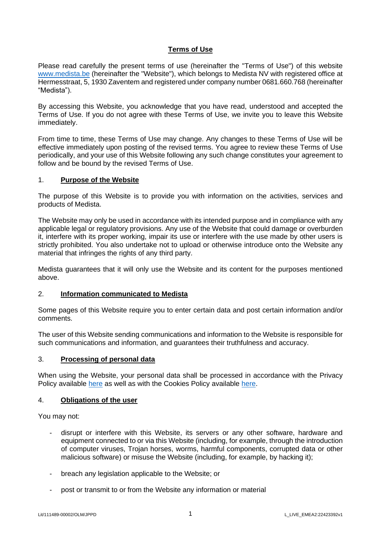# **Terms of Use**

Please read carefully the present terms of use (hereinafter the "Terms of Use") of this website [www.medista.be](http://www.medista.be/) (hereinafter the "Website"), which belongs to Medista NV with registered office at Hermesstraat, 5, 1930 Zaventem and registered under company number 0681.660.768 (hereinafter "Medista").

By accessing this Website, you acknowledge that you have read, understood and accepted the Terms of Use. If you do not agree with these Terms of Use, we invite you to leave this Website immediately.

From time to time, these Terms of Use may change. Any changes to these Terms of Use will be effective immediately upon posting of the revised terms. You agree to review these Terms of Use periodically, and your use of this Website following any such change constitutes your agreement to follow and be bound by the revised Terms of Use.

## 1. **Purpose of the Website**

The purpose of this Website is to provide you with information on the activities, services and products of Medista.

The Website may only be used in accordance with its intended purpose and in compliance with any applicable legal or regulatory provisions. Any use of the Website that could damage or overburden it, interfere with its proper working, impair its use or interfere with the use made by other users is strictly prohibited. You also undertake not to upload or otherwise introduce onto the Website any material that infringes the rights of any third party.

Medista guarantees that it will only use the Website and its content for the purposes mentioned above.

#### 2. **Information communicated to Medista**

Some pages of this Website require you to enter certain data and post certain information and/or comments.

The user of this Website sending communications and information to the Website is responsible for such communications and information, and guarantees their truthfulness and accuracy.

#### 3. **Processing of personal data**

When using the Website, your personal data shall be processed in accordance with the Privacy Policy available [here](https://www.medista.be/wp-content/uploads/Medista-Website-Privacy-Policy-EN-03.03.202222552300v1.pdf) as well as with the Cookies Policy available [here.](https://www.medista.be/cookie-policy-eu/)

#### 4. **Obligations of the user**

You may not:

- disrupt or interfere with this Website, its servers or any other software, hardware and equipment connected to or via this Website (including, for example, through the introduction of computer viruses, Trojan horses, worms, harmful components, corrupted data or other malicious software) or misuse the Website (including, for example, by hacking it);
- breach any legislation applicable to the Website; or
- post or transmit to or from the Website any information or material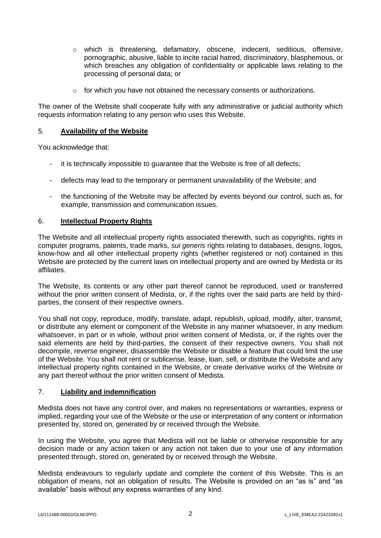- o which is threatening, defamatory, obscene, indecent, seditious, offensive, pornographic, abusive, liable to incite racial hatred, discriminatory, blasphemous, or which breaches any obligation of confidentiality or applicable laws relating to the processing of personal data; or
- o for which you have not obtained the necessary consents or authorizations.

The owner of the Website shall cooperate fully with any administrative or judicial authority which requests information relating to any person who uses this Website.

## 5. **Availability of the Website**

You acknowledge that:

- it is technically impossible to guarantee that the Website is free of all defects;
- defects may lead to the temporary or permanent unavailability of the Website; and
- the functioning of the Website may be affected by events beyond our control, such as, for example, transmission and communication issues.

## 6. **Intellectual Property Rights**

The Website and all intellectual property rights associated therewith, such as copyrights, rights in computer programs, patents, trade marks, *sui generis* rights relating to databases, designs, logos, know-how and all other intellectual property rights (whether registered or not) contained in this Website are protected by the current laws on intellectual property and are owned by Medista or its affiliates.

The Website, its contents or any other part thereof cannot be reproduced, used or transferred without the prior written consent of Medista, or, if the rights over the said parts are held by thirdparties, the consent of their respective owners.

You shall not copy, reproduce, modify, translate, adapt, republish, upload, modify, alter, transmit, or distribute any element or component of the Website in any manner whatsoever, in any medium whatsoever, in part or in whole, without prior written consent of Medista, or, if the rights over the said elements are held by third-parties, the consent of their respective owners. You shall not decompile, reverse engineer, disassemble the Website or disable a feature that could limit the use of the Website. You shall not rent or sublicense, lease, loan, sell, or distribute the Website and any intellectual property rights contained in the Website, or create derivative works of the Website or any part thereof without the prior written consent of Medista.

## 7. **Liability and indemnification**

Medista does not have any control over, and makes no representations or warranties, express or implied, regarding your use of the Website or the use or interpretation of any content or information presented by, stored on, generated by or received through the Website.

In using the Website, you agree that Medista will not be liable or otherwise responsible for any decision made or any action taken or any action not taken due to your use of any information presented through, stored on, generated by or received through the Website.

Medista endeavours to regularly update and complete the content of this Website. This is an obligation of means, not an obligation of results. The Website is provided on an "as is" and "as available" basis without any express warranties of any kind.